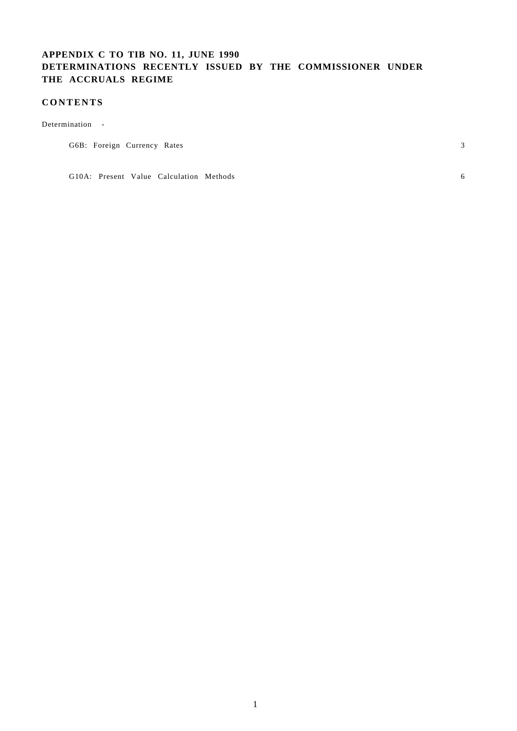# **APPENDIX C TO TIB NO. 11, JUNE 1990 DETERMINATIONS RECENTLY ISSUED BY THE COMMISSIONER UNDER THE ACCRUALS REGIME**

# **CONTENTS**

Determination -

|--|

G10A: Present Value Calculation Methods 6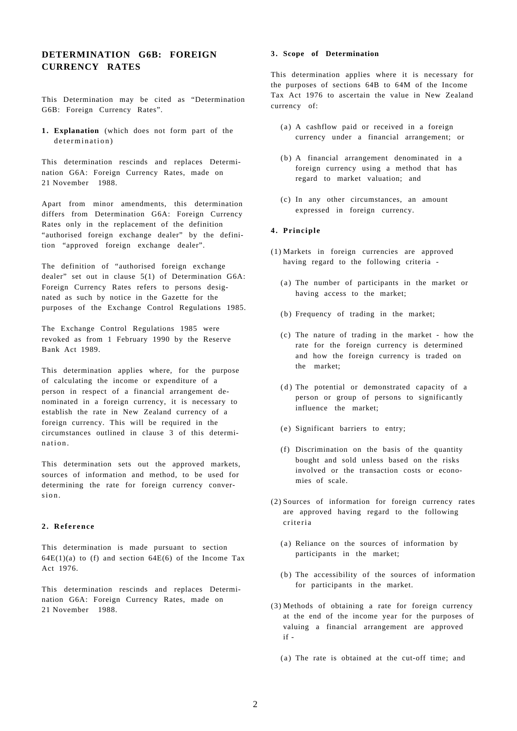# **DETERMINATION G6B: FOREIGN CURRENCY RATES**

This Determination may be cited as "Determination G6B: Foreign Currency Rates".

**1 . Explanation** (which does not form part of the determination)

This determination rescinds and replaces Determination G6A: Foreign Currency Rates, made on 21 November 1988.

Apart from minor amendments, this determination differs from Determination G6A: Foreign Currency Rates only in the replacement of the definition "authorised foreign exchange dealer" by the definition "approved foreign exchange dealer".

The definition of "authorised foreign exchange dealer" set out in clause 5(1) of Determination G6A: Foreign Currency Rates refers to persons designated as such by notice in the Gazette for the purposes of the Exchange Control Regulations 1985.

The Exchange Control Regulations 1985 were revoked as from 1 February 1990 by the Reserve Bank Act 1989.

This determination applies where, for the purpose of calculating the income or expenditure of a person in respect of a financial arrangement denominated in a foreign currency, it is necessary to establish the rate in New Zealand currency of a foreign currency. This will be required in the circumstances outlined in clause 3 of this determination.

This determination sets out the approved markets, sources of information and method, to be used for determining the rate for foreign currency conversion.

# **2 . Referenc e**

This determination is made pursuant to section  $64E(1)(a)$  to (f) and section  $64E(6)$  of the Income Tax Act 1976.

This determination rescinds and replaces Determination G6A: Foreign Currency Rates, made on 21 November 1988.

## **3 . Scope of Determination**

This determination applies where it is necessary for the purposes of sections 64B to 64M of the Income Tax Act 1976 to ascertain the value in New Zealand currency of:

- (a) A cashflow paid or received in a foreign currency under a financial arrangement; or
- (b) A financial arrangement denominated in a foreign currency using a method that has regard to market valuation; and
- (c) In any other circumstances, an amount expressed in foreign currency.

#### **4 . Principle**

- (1) Markets in foreign currencies are approved having regard to the following criteria -
	- (a ) The number of participants in the market or having access to the market;
	- (b) Frequency of trading in the market;
	- (c) The nature of trading in the market how the rate for the foreign currency is determined and how the foreign currency is traded on the market;
	- $(d)$  The potential or demonstrated capacity of a person or group of persons to significantly influence the market;
	- (e) Significant barriers to entry;
	- (f) Discrimination on the basis of the quantity bought and sold unless based on the risks involved or the transaction costs or economies of scale.
- (2) Sources of information for foreign currency rates are approved having regard to the following criteria
	- (a) Reliance on the sources of information by participants in the market;
	- (b) The accessibility of the sources of information for participants in the market.
- (3) Methods of obtaining a rate for foreign currency at the end of the income year for the purposes of valuing a financial arrangement are approved if -
	- (a) The rate is obtained at the cut-off time; and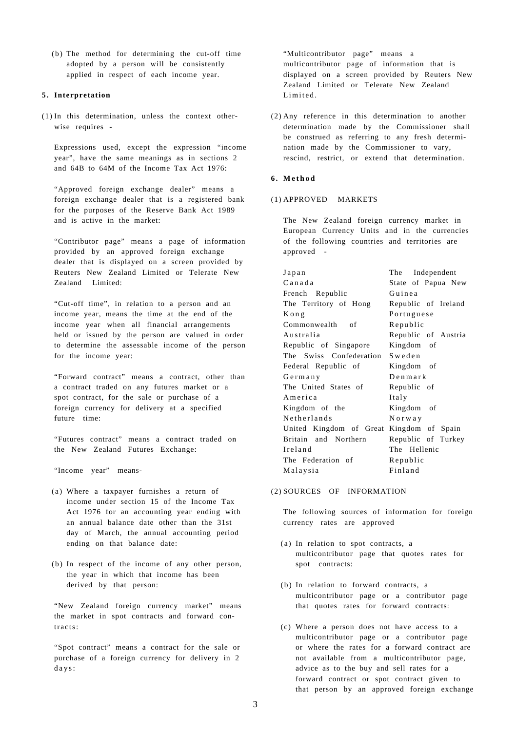(b) The method for determining the cut-off time adopted by a person will be consistently applied in respect of each income year.

### **5 . Interpretation**

(1) In this determination, unless the context otherwise requires -

Expressions used, except the expression "income year", have the same meanings as in sections 2 and 64B to 64M of the Income Tax Act 1976:

"Approved foreign exchange dealer" means a foreign exchange dealer that is a registered bank for the purposes of the Reserve Bank Act 1989 and is active in the market:

"Contributor page" means a page of information provided by an approved foreign exchange dealer that is displayed on a screen provided by Reuters New Zealand Limited or Telerate New Zealand Limited:

"Cut-off time", in relation to a person and an income year, means the time at the end of the income year when all financial arrangements held or issued by the person are valued in order to determine the assessable income of the person for the income year:

"Forward contract" means a contract, other than a contract traded on any futures market or a spot contract, for the sale or purchase of a foreign currency for delivery at a specified future time:

"Futures contract" means a contract traded on the New Zealand Futures Exchange:

"Income year" means-

- (a) Where a taxpayer furnishes a return of income under section 15 of the Income Tax Act 1976 for an accounting year ending with an annual balance date other than the 31st day of March, the annual accounting period ending on that balance date:
- (b) In respect of the income of any other person, the year in which that income has been derived by that person:

"New Zealand foreign currency market" means the market in spot contracts and forward contracts:

"Spot contract" means a contract for the sale or purchase of a foreign currency for delivery in 2 days:

"Multicontributor page" means a multicontributor page of information that is displayed on a screen provided by Reuters New Zealand Limited or Telerate New Zealand Limited.

(2) Any reference in this determination to another determination made by the Commissioner shall be construed as referring to any fresh determination made by the Commissioner to vary, rescind, restrict, or extend that determination.

### **6 . Metho d**

### (1) APPROVED MARKETS

The New Zealand foreign currency market in European Currency Units and in the currencies of the following countries and territories are approved -

| Japan                   | The Independent     |
|-------------------------|---------------------|
| Canada                  | State of Papua New  |
| French Republic         | Guinea              |
| The Territory of Hong   | Republic of Ireland |
| Kong                    | Portuguese          |
| Commonwealth of         | Republic            |
| Australia               | Republic of Austria |
| Republic of Singapore   | Kingdom of          |
| The Swiss Confederation | Sweden              |
| Federal Republic of     | Kingdom of          |
| Germany                 | $D$ enmark          |
| The United States of    | Republic of         |
| America                 | Italy               |
| Kingdom of the          | Kingdom of          |
| Netherlands             | Norway              |
| United Kingdom of Great | Kingdom of Spain    |
| Britain and Northern    | Republic of Turkey  |
| Ireland                 | The Hellenic        |
| The Federation of       | Republic            |
| Malaysia                | Finland             |

# (2) SOURCES OF INFORMATION

The following sources of information for foreign currency rates are approved

- (a) In relation to spot contracts, a multicontributor page that quotes rates for spot contracts:
- (b) In relation to forward contracts, a multicontributor page or a contributor page that quotes rates for forward contracts:
- (c) Where a person does not have access to a multicontributor page or a contributor page or where the rates for a forward contract are not available from a multicontributor page, advice as to the buy and sell rates for a forward contract or spot contract given to that person by an approved foreign exchange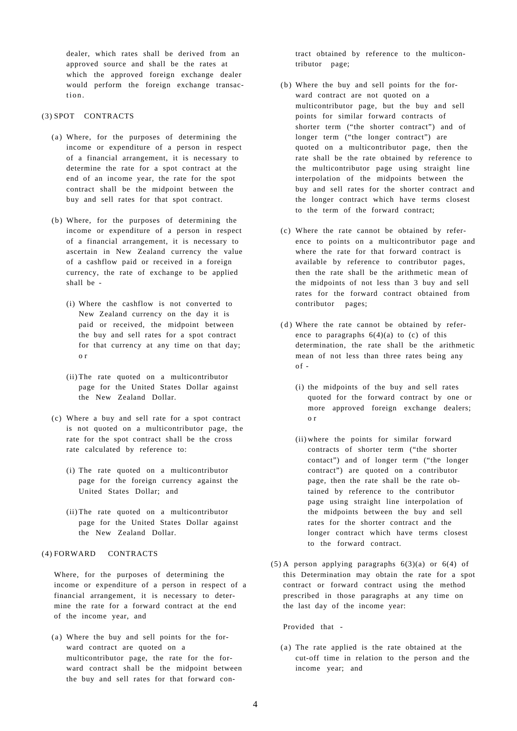dealer, which rates shall be derived from an approved source and shall be the rates at which the approved foreign exchange dealer would perform the foreign exchange transaction.

# (3) SPOT CONTRACTS

- (a) Where, for the purposes of determining the income or expenditure of a person in respect of a financial arrangement, it is necessary to determine the rate for a spot contract at the end of an income year, the rate for the spot contract shall be the midpoint between the buy and sell rates for that spot contract.
- (b) Where, for the purposes of determining the income or expenditure of a person in respect of a financial arrangement, it is necessary to ascertain in New Zealand currency the value of a cashflow paid or received in a foreign currency, the rate of exchange to be applied shall be -
	- (i) Where the cashflow is not converted to New Zealand currency on the day it is paid or received, the midpoint between the buy and sell rates for a spot contract for that currency at any time on that day; o r
	- (ii) The rate quoted on a multicontributor page for the United States Dollar against the New Zealand Dollar.
- (c) Where a buy and sell rate for a spot contract is not quoted on a multicontributor page, the rate for the spot contract shall be the cross rate calculated by reference to:
	- (i) The rate quoted on a multicontributor page for the foreign currency against the United States Dollar; and
	- (ii) The rate quoted on a multicontributor page for the United States Dollar against the New Zealand Dollar.

### (4) FORWARD CONTRACTS

Where, for the purposes of determining the income or expenditure of a person in respect of a financial arrangement, it is necessary to determine the rate for a forward contract at the end of the income year, and

(a) Where the buy and sell points for the forward contract are quoted on a multicontributor page, the rate for the forward contract shall be the midpoint between the buy and sell rates for that forward contract obtained by reference to the multicontributor page;

- (b) Where the buy and sell points for the forward contract are not quoted on a multicontributor page, but the buy and sell points for similar forward contracts of shorter term ("the shorter contract") and of longer term ("the longer contract") are quoted on a multicontributor page, then the rate shall be the rate obtained by reference to the multicontributor page using straight line interpolation of the midpoints between the buy and sell rates for the shorter contract and the longer contract which have terms closest to the term of the forward contract;
- (c) Where the rate cannot be obtained by reference to points on a multicontributor page and where the rate for that forward contract is available by reference to contributor pages, then the rate shall be the arithmetic mean of the midpoints of not less than 3 buy and sell rates for the forward contract obtained from contributor pages;
- $(d)$  Where the rate cannot be obtained by reference to paragraphs  $6(4)(a)$  to (c) of this determination, the rate shall be the arithmetic mean of not less than three rates being any  $of -$ 
	- (i) the midpoints of the buy and sell rates quoted for the forward contract by one or more approved foreign exchange dealers; o r
	- (ii) where the points for similar forward contracts of shorter term ("the shorter contact") and of longer term ("the longer contract") are quoted on a contributor page, then the rate shall be the rate obtained by reference to the contributor page using straight line interpolation of the midpoints between the buy and sell rates for the shorter contract and the longer contract which have terms closest to the forward contract.
- (5) A person applying paragraphs 6(3)(a) or 6(4) of this Determination may obtain the rate for a spot contract or forward contract using the method prescribed in those paragraphs at any time on the last day of the income year:

Provided that -

(a) The rate applied is the rate obtained at the cut-off time in relation to the person and the income year; and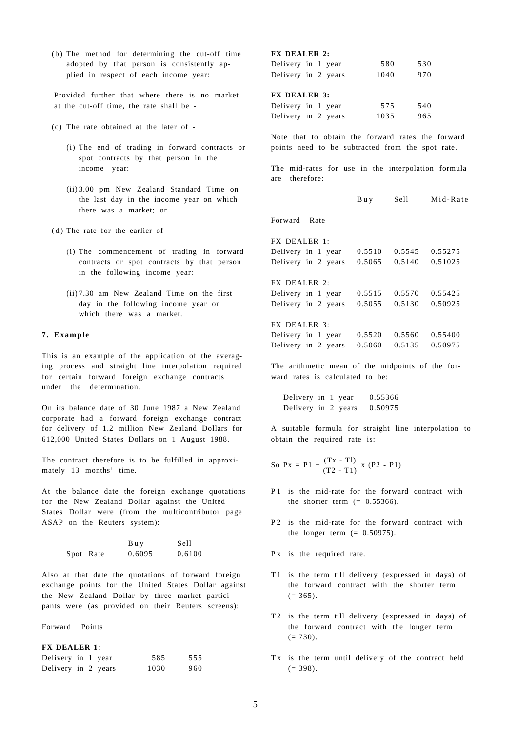(b) The method for determining the cut-off time adopted by that person is consistently applied in respect of each income year:

Provided further that where there is no market at the cut-off time, the rate shall be -

- (c) The rate obtained at the later of
	- (i) The end of trading in forward contracts or spot contracts by that person in the income year:
	- (ii) 3.00 pm New Zealand Standard Time on the last day in the income year on which there was a market; or
- $(d)$  The rate for the earlier of -
	- (i) The commencement of trading in forward contracts or spot contracts by that person in the following income year:
	- (ii) 7.30 am New Zealand Time on the first day in the following income year on which there was a market.

#### **7 . Exampl e**

This is an example of the application of the averaging process and straight line interpolation required for certain forward foreign exchange contracts under the determination.

On its balance date of 30 June 1987 a New Zealand corporate had a forward foreign exchange contract for delivery of 1.2 million New Zealand Dollars for 612,000 United States Dollars on 1 August 1988.

The contract therefore is to be fulfilled in approximately 13 months' time.

At the balance date the foreign exchange quotations for the New Zealand Dollar against the United States Dollar were (from the multicontributor page ASAP on the Reuters system):

|           | Buy    | Sell   |
|-----------|--------|--------|
| Spot Rate | 0.6095 | 0.6100 |

Also at that date the quotations of forward foreign exchange points for the United States Dollar against the New Zealand Dollar by three market participants were (as provided on their Reuters screens):

Forward Points

#### **FX DEALER 1:**

| Delivery in 1 year  |  | 585  | 555  |
|---------------------|--|------|------|
| Delivery in 2 years |  | 1030 | 960. |

|  | <b>FX DEALER 2:</b> |  |
|--|---------------------|--|
|--|---------------------|--|

| Delivery in 1 year  |  | 580  | 530 |
|---------------------|--|------|-----|
| Delivery in 2 years |  | 1040 | 970 |

#### **FX DEALER 3:**

| Delivery in 1 year  |  | 575  | 540 |
|---------------------|--|------|-----|
| Delivery in 2 years |  | 1035 | 965 |

Note that to obtain the forward rates the forward points need to be subtracted from the spot rate.

The mid-rates for use in the interpolation formula are therefore:

|                     | Buy    | Sell   | Mid-Rate |
|---------------------|--------|--------|----------|
| Forward Rate        |        |        |          |
| FX DEALER 1:        |        |        |          |
| Delivery in 1 year  | 0.5510 | 0.5545 | 0.55275  |
| Delivery in 2 years | 0.5065 | 0.5140 | 0.51025  |
| FX DEALER 2:        |        |        |          |
| Delivery in 1 year  | 0.5515 | 0.5570 | 0.55425  |
| Delivery in 2 years | 0.5055 | 0.5130 | 0.50925  |
| FX DEALER 3:        |        |        |          |
| Delivery in 1 year  | 0.5520 | 0.5560 | 0.55400  |
| Delivery in 2 years | 0.5060 | 0.5135 | 0.50975  |
|                     |        |        |          |

The arithmetic mean of the midpoints of the forward rates is calculated to be:

Delivery in 1 year 0.55366 Delivery in 2 years 0.50975

A suitable formula for straight line interpolation to obtain the required rate is:

So 
$$
Px = P1 + \frac{(Tx - T1)}{(T2 - T1)} x (P2 - P1)
$$

- P1 is the mid-rate for the forward contract with the shorter term  $(= 0.55366)$ .
- P2 is the mid-rate for the forward contract with the longer term  $(= 0.50975)$ .
- P x is the required rate.
- T1 is the term till delivery (expressed in days) of the forward contract with the shorter term  $(= 365).$
- T<sub>2</sub> is the term till delivery (expressed in days) of the forward contract with the longer term  $(= 730).$
- Tx is the term until delivery of the contract held  $(= 398).$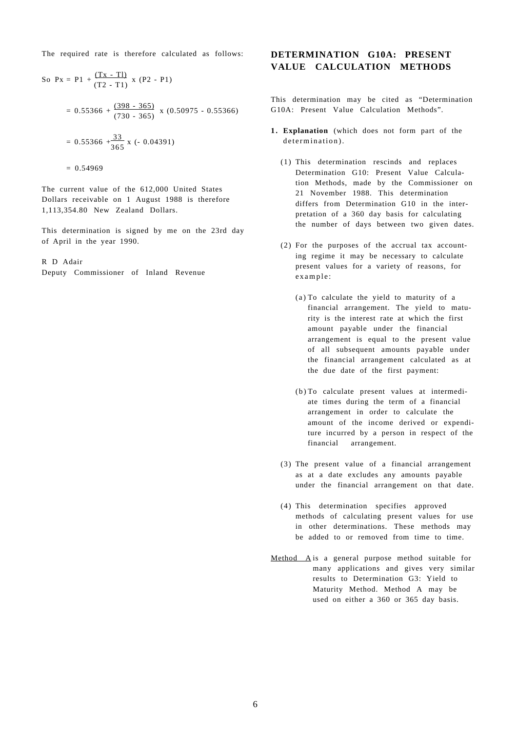The required rate is therefore calculated as follows:

So Px = P1 + 
$$
\frac{(Tx - T1)}{(T2 - T1)}
$$
 x (P2 - P1)  
\n= 0.55366 +  $\frac{(398 - 365)}{(730 - 365)}$  x (0.50975 - 0.55366)  
\n= 0.55366 +  $\frac{33}{365}$  x (-0.04391)  
\n= 0.54969

The current value of the 612,000 United States Dollars receivable on 1 August 1988 is therefore 1,113,354.80 New Zealand Dollars.

This determination is signed by me on the 23rd day of April in the year 1990.

R D Adair

Deputy Commissioner of Inland Revenue

# **DETERMINATION G10A: PRESENT VALUE CALCULATION METHODS**

This determination may be cited as "Determination G10A: Present Value Calculation Methods".

- **1 . Explanation** (which does not form part of the determination).
	- (1) This determination rescinds and replaces Determination G10: Present Value Calculation Methods, made by the Commissioner on 21 November 1988. This determination differs from Determination G10 in the interpretation of a 360 day basis for calculating the number of days between two given dates.
	- (2) For the purposes of the accrual tax accounting regime it may be necessary to calculate present values for a variety of reasons, for example :
		- (a ) To calculate the yield to maturity of a financial arrangement. The yield to maturity is the interest rate at which the first amount payable under the financial arrangement is equal to the present value of all subsequent amounts payable under the financial arrangement calculated as at the due date of the first payment:
		- (b) To calculate present values at intermediate times during the term of a financial arrangement in order to calculate the amount of the income derived or expenditure incurred by a person in respect of the financial arrangement.
	- (3) The present value of a financial arrangement as at a date excludes any amounts payable under the financial arrangement on that date.
	- (4) This determination specifies approved methods of calculating present values for use in other determinations. These methods may be added to or removed from time to time.
- Method A is a general purpose method suitable for many applications and gives very similar results to Determination G3: Yield to Maturity Method. Method A may be used on either a 360 or 365 day basis.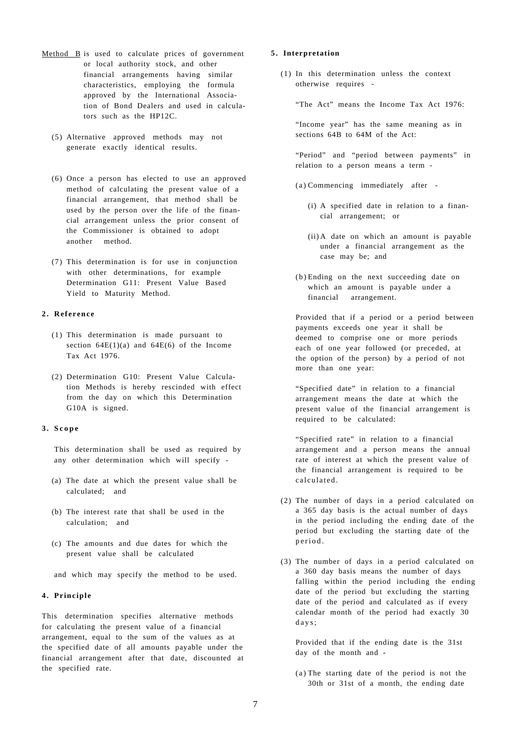- Method B is used to calculate prices of government or local authority stock, and other financial arrangements having similar characteristics, employing the formula approved by the International Association of Bond Dealers and used in calculators such as the HP12C.
	- (5) Alternative approved methods may not generate exactly identical results.
	- (6) Once a person has elected to use an approved method of calculating the present value of a financial arrangement, that method shall be used by the person over the life of the financial arrangement unless the prior consent of the Commissioner is obtained to adopt another method.
	- (7) This determination is for use in conjunction with other determinations, for example Determination G11: Present Value Based Yield to Maturity Method.

## **2 . Referenc e**

- (1) This determination is made pursuant to section  $64E(1)(a)$  and  $64E(6)$  of the Income Tax Act 1976.
- (2) Determination G10: Present Value Calculation Methods is hereby rescinded with effect from the day on which this Determination G10A is signed.

#### **3 . Scop e**

This determination shall be used as required by any other determination which will specify -

- (a) The date at which the present value shall be calculated; and
- (b) The interest rate that shall be used in the calculation; and
- (c) The amounts and due dates for which the present value shall be calculated

and which may specify the method to be used.

## **4 . Principle**

This determination specifies alternative methods for calculating the present value of a financial arrangement, equal to the sum of the values as at the specified date of all amounts payable under the financial arrangement after that date, discounted at the specified rate.

## **5 . Interpretation**

(1) In this determination unless the context otherwise requires -

"The Act" means the Income Tax Act 1976:

"Income year" has the same meaning as in sections 64B to 64M of the Act:

"Period" and "period between payments" in relation to a person means a term -

- (a ) Commencing immediately after
	- (i) A specified date in relation to a financial arrangement; or
	- (ii) A date on which an amount is payable under a financial arrangement as the case may be; and
- (b) Ending on the next succeeding date on which an amount is payable under a financial arrangement.

Provided that if a period or a period between payments exceeds one year it shall be deemed to comprise one or more periods each of one year followed (or preceded, at the option of the person) by a period of not more than one year:

"Specified date" in relation to a financial arrangement means the date at which the present value of the financial arrangement is required to be calculated:

"Specified rate" in relation to a financial arrangement and a person means the annual rate of interest at which the present value of the financial arrangement is required to be calculated.

- (2) The number of days in a period calculated on a 365 day basis is the actual number of days in the period including the ending date of the period but excluding the starting date of the period .
- (3) The number of days in a period calculated on a 360 day basis means the number of days falling within the period including the ending date of the period but excluding the starting date of the period and calculated as if every calendar month of the period had exactly 30 days;

Provided that if the ending date is the 31st day of the month and -

(a ) The starting date of the period is not the 30th or 31st of a month, the ending date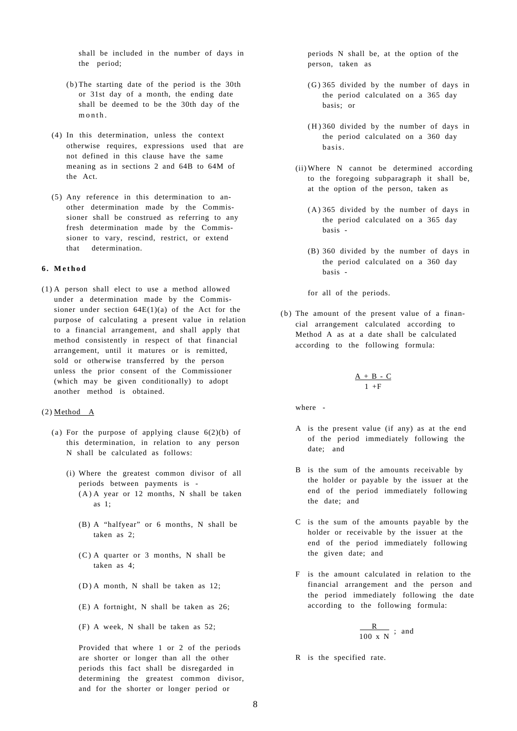shall be included in the number of days in the period;

- (b) The starting date of the period is the 30th or 31st day of a month, the ending date shall be deemed to be the 30th day of the  $m \cap n$ th
- (4) In this determination, unless the context otherwise requires, expressions used that are not defined in this clause have the same meaning as in sections 2 and 64B to 64M of the Act.
- (5) Any reference in this determination to another determination made by the Commissioner shall be construed as referring to any fresh determination made by the Commissioner to vary, rescind, restrict, or extend that determination.

### **6 . Metho d**

(1) A person shall elect to use a method allowed under a determination made by the Commissioner under section  $64E(1)(a)$  of the Act for the purpose of calculating a present value in relation to a financial arrangement, and shall apply that method consistently in respect of that financial arrangement, until it matures or is remitted, sold or otherwise transferred by the person unless the prior consent of the Commissioner (which may be given conditionally) to adopt another method is obtained.

### $(2)$  Method A

- (a) For the purpose of applying clause  $6(2)(b)$  of this determination, in relation to any person N shall be calculated as follows:
	- (i) Where the greatest common divisor of all periods between payments is -  $(A)$  A year or 12 months, N shall be taken as 1;
		- (B) A "halfyear" or 6 months, N shall be taken as 2;
		- (C) A quarter or 3 months, N shall be taken as 4;
		- ( D) A month, N shall be taken as 12;
		- (E) A fortnight, N shall be taken as 26;
		- (F) A week, N shall be taken as 52;

Provided that where 1 or 2 of the periods are shorter or longer than all the other periods this fact shall be disregarded in determining the greatest common divisor, and for the shorter or longer period or

periods N shall be, at the option of the person, taken as

- (G) 365 divided by the number of days in the period calculated on a 365 day basis; or
- $(H)$  360 divided by the number of days in the period calculated on a 360 day basis.
- (ii) Where N cannot be determined according to the foregoing subparagraph it shall be, at the option of the person, taken as
	- ( A) 365 divided by the number of days in the period calculated on a 365 day basis -
	- (B) 360 divided by the number of days in the period calculated on a 360 day basis -

for all of the periods.

(b) The amount of the present value of a financial arrangement calculated according to Method A as at a date shall be calculated according to the following formula:

$$
\frac{A + B - C}{1 + F}
$$

where -

- A is the present value (if any) as at the end of the period immediately following the date; and
- B is the sum of the amounts receivable by the holder or payable by the issuer at the end of the period immediately following the date; and
- C is the sum of the amounts payable by the holder or receivable by the issuer at the end of the period immediately following the given date; and
- F is the amount calculated in relation to the financial arrangement and the person and the period immediately following the date according to the following formula:

$$
\frac{R}{100 \text{ x N}} \text{ ; and}
$$

R is the specified rate.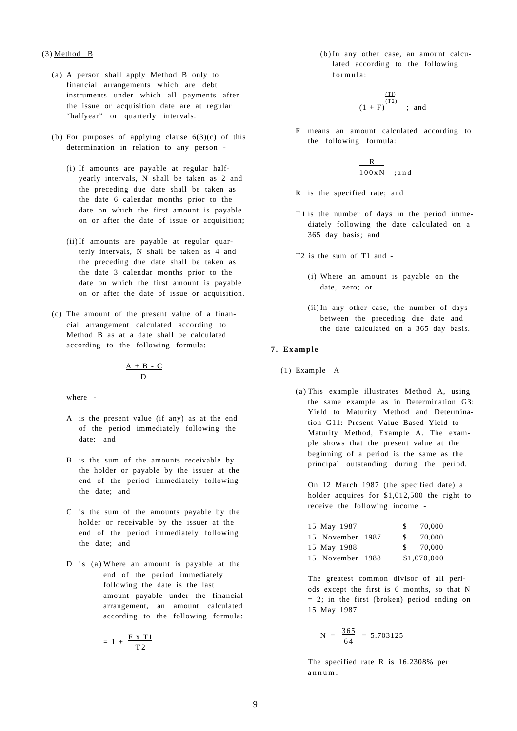### (3) Method B

- (a) A person shall apply Method B only to financial arrangements which are debt instruments under which all payments after the issue or acquisition date are at regular "halfyear" or quarterly intervals.
- (b) For purposes of applying clause  $6(3)(c)$  of this determination in relation to any person -
	- (i) If amounts are payable at regular halfyearly intervals, N shall be taken as 2 and the preceding due date shall be taken as the date 6 calendar months prior to the date on which the first amount is payable on or after the date of issue or acquisition;
	- (ii)If amounts are payable at regular quarterly intervals, N shall be taken as 4 and the preceding due date shall be taken as the date 3 calendar months prior to the date on which the first amount is payable on or after the date of issue or acquisition.
- (c) The amount of the present value of a financial arrangement calculated according to Method B as at a date shall be calculated according to the following formula:

$$
\frac{A + B - C}{D}
$$

where -

- A is the present value (if any) as at the end of the period immediately following the date; and
- B is the sum of the amounts receivable by the holder or payable by the issuer at the end of the period immediately following the date; and
- C is the sum of the amounts payable by the holder or receivable by the issuer at the end of the period immediately following the date; and
- D is  $(a)$  Where an amount is payable at the end of the period immediately following the date is the last amount payable under the financial arrangement, an amount calculated according to the following formula:

$$
= 1 + \frac{F \times T1}{T2}
$$

(b) In any other case, an amount calculated according to the following formula :

$$
\frac{\frac{(T1)}{(T2)}}{(1 + F)} \quad ; \text{ and}
$$

F means an amount calculated according to the following formula:

$$
\frac{R}{100xN} \quad ; \text{and}
$$

- R is the specified rate; and
- T1 is the number of days in the period immediately following the date calculated on a 365 day basis; and
- T2 is the sum of T1 and
	- (i) Where an amount is payable on the date, zero; or
	- (ii)In any other case, the number of days between the preceding due date and the date calculated on a 365 day basis.

### **7 . Exampl e**

- (1) Example A
	- (a) This example illustrates Method A, using the same example as in Determination G3: Yield to Maturity Method and Determination G11: Present Value Based Yield to Maturity Method, Example A. The example shows that the present value at the beginning of a period is the same as the principal outstanding during the period.

On 12 March 1987 (the specified date) a holder acquires for \$1,012,500 the right to receive the following income -

| 15 May 1987      | \$. | 70,000      |
|------------------|-----|-------------|
| 15 November 1987 | S.  | 70,000      |
| 15 May 1988      | S.  | 70,000      |
| 15 November 1988 |     | \$1,070,000 |

The greatest common divisor of all periods except the first is 6 months, so that N  $= 2$ ; in the first (broken) period ending on 15 May 1987

$$
N = \frac{365}{64} = 5.703125
$$

The specified rate R is 16.2308% per annum .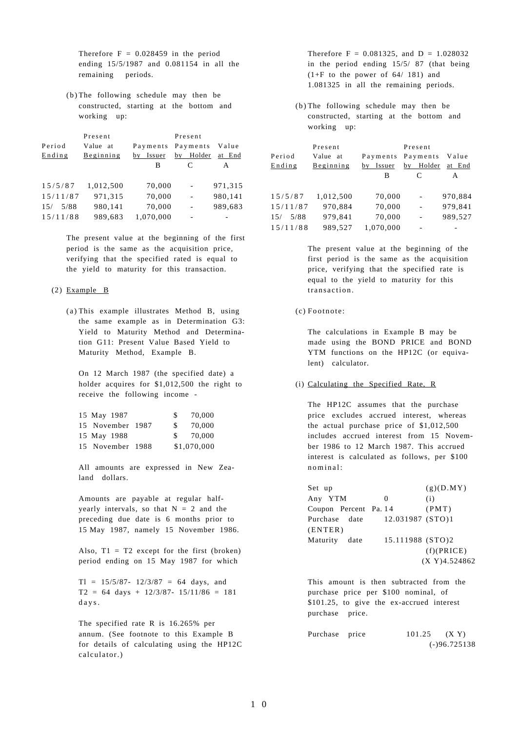Therefore  $F = 0.028459$  in the period ending 15/5/1987 and 0.081154 in all the remaining periods.

(b) The following schedule may then be constructed, starting at the bottom and working up:

| Period<br>Ending | Present<br>Value at<br>Beginning | Payments<br>by Issuer | Present<br>Payments<br>Holder<br>by | Value<br>at End |
|------------------|----------------------------------|-----------------------|-------------------------------------|-----------------|
|                  |                                  | в                     | C                                   | A               |
| 15/5/87          | 1,012,500                        | 70,000                | ۰                                   | 971,315         |
| 15/11/87         | 971,315                          | 70,000                | $\overline{\phantom{m}}$            | 980,141         |
| 5/88<br>15/      | 980,141                          | 70,000                | $\overline{\phantom{m}}$            | 989,683         |
| 15/11/88         | 989,683                          | 1,070,000             |                                     |                 |

The present value at the beginning of the first period is the same as the acquisition price, verifying that the specified rated is equal to the yield to maturity for this transaction.

## (2) Example B

(a ) This example illustrates Method B, using the same example as in Determination G3: Yield to Maturity Method and Determination G11: Present Value Based Yield to Maturity Method, Example B.

On 12 March 1987 (the specified date) a holder acquires for \$1,012,500 the right to receive the following income -

| 15 May 1987      | SS. | 70,000      |
|------------------|-----|-------------|
| 15 November 1987 | S.  | 70,000      |
| 15 May 1988      | S.  | 70,000      |
| 15 November 1988 |     | \$1,070,000 |

All amounts are expressed in New Zealand dollars.

Amounts are payable at regular halfyearly intervals, so that  $N = 2$  and the preceding due date is 6 months prior to 15 May 1987, namely 15 November 1986.

Also,  $T1 = T2$  except for the first (broken) period ending on 15 May 1987 for which

 $T1 = 15/5/87 - 12/3/87 = 64$  days, and  $T2 = 64 \text{ days} + 12/3/87 - 15/11/86 = 181$ days.

The specified rate R is 16.265% per annum. (See footnote to this Example B for details of calculating using the HP12C calculator.)

Therefore  $F = 0.081325$ , and  $D = 1.028032$ in the period ending 15/5/ 87 (that being  $(1+F$  to the power of 64/ 181) and 1.081325 in all the remaining periods.

(b) The following schedule may then be constructed, starting at the bottom and working up:

| Period      | Present<br>Value at | Payments  | Present<br>Payments      | Value   |
|-------------|---------------------|-----------|--------------------------|---------|
| Ending      | Beginning           | by Issuer | by Holder                | at End  |
|             |                     | В         | C                        | A       |
|             |                     |           |                          |         |
| 15/5/87     | 1,012,500           | 70,000    | $\overline{\phantom{a}}$ | 970,884 |
| 15/11/87    | 970,884             | 70,000    | ٠                        | 979,841 |
| 5/88<br>15/ | 979,841             | 70,000    | $\blacksquare$           | 989,527 |
| 15/11/88    | 989.527             | 1,070,000 |                          |         |

The present value at the beginning of the first period is the same as the acquisition price, verifying that the specified rate is equal to the yield to maturity for this transaction.

(c) Footnote:

The calculations in Example B may be made using the BOND PRICE and BOND YTM functions on the HP12C (or equivalent) calculator.

# (i) Calculating the Specified Rate, R

The HP12C assumes that the purchase price excludes accrued interest, whereas the actual purchase price of \$1,012,500 includes accrued interest from 15 November 1986 to 12 March 1987. This accrued interest is calculated as follows, per \$100 nominal:

| Set up                |                  | (g)(D.MY)     |
|-----------------------|------------------|---------------|
| Any YTM               | $\Omega$         | (i)           |
| Coupon Percent Pa. 14 |                  | (PMT)         |
| Purchase date         | 12.031987 (STO)1 |               |
| (ENTER)               |                  |               |
| Maturity<br>date      | 15.111988 (STO)2 |               |
|                       |                  | (f)(PRICE)    |
|                       |                  | (X Y)4.524862 |

This amount is then subtracted from the purchase price per \$100 nominal, of \$101.25, to give the ex-accrued interest purchase price.

| Purchase price |  | $101.25$ $(X Y)$ |
|----------------|--|------------------|
|                |  | $(-)96.725138$   |